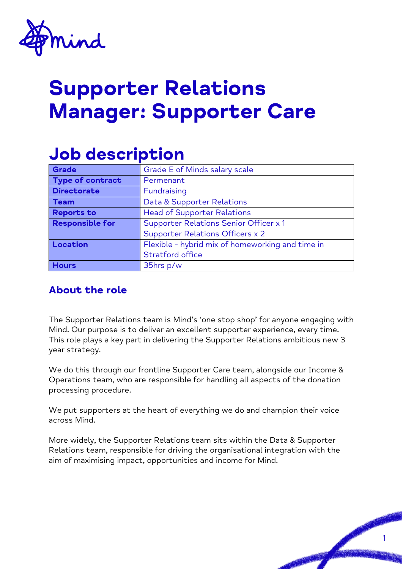

# Supporter Relations Manager: Supporter Care

## Job description

| Grade                  | Grade E of Minds salary scale                    |
|------------------------|--------------------------------------------------|
| Type of contract       | Permenant                                        |
| <b>Directorate</b>     | Fundraising                                      |
| <b>Team</b>            | Data & Supporter Relations                       |
| <b>Reports to</b>      | <b>Head of Supporter Relations</b>               |
| <b>Responsible for</b> | Supporter Relations Senior Officer x 1           |
|                        | <b>Supporter Relations Officers x 2</b>          |
| Location               | Flexible - hybrid mix of homeworking and time in |
|                        | Stratford office                                 |
| <b>Hours</b>           | 35hrs p/w                                        |

### About the role

The Supporter Relations team is Mind's 'one stop shop' for anyone engaging with Mind. Our purpose is to deliver an excellent supporter experience, every time. This role plays a key part in delivering the Supporter Relations ambitious new 3 year strategy.

We do this through our frontline Supporter Care team, alongside our Income & Operations team, who are responsible for handling all aspects of the donation processing procedure.

We put supporters at the heart of everything we do and champion their voice across Mind.

More widely, the Supporter Relations team sits within the Data & Supporter Relations team, responsible for driving the organisational integration with the aim of maximising impact, opportunities and income for Mind.

1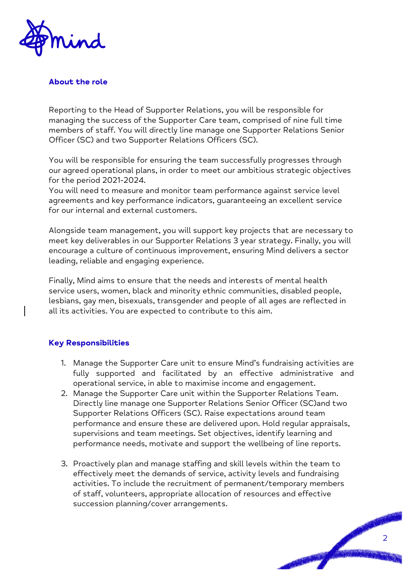

#### **About the role**

Reporting to the Head of Supporter Relations, you will be responsible for managing the success of the Supporter Care team, comprised of nine full time members of staff. You will directly line manage one Supporter Relations Senior Officer (SC) and two Supporter Relations Officers (SC).

You will be responsible for ensuring the team successfully progresses through our agreed operational plans, in order to meet our ambitious strategic objectives for the period 2021-2024.

You will need to measure and monitor team performance against service level agreements and key performance indicators, guaranteeing an excellent service for our internal and external customers.

Alongside team management, you will support key projects that are necessary to meet key deliverables in our Supporter Relations 3 year strategy. Finally, you will encourage a culture of continuous improvement, ensuring Mind delivers a sector leading, reliable and engaging experience.

Finally, Mind aims to ensure that the needs and interests of mental health service users, women, black and minority ethnic communities, disabled people, lesbians, gay men, bisexuals, transgender and people of all ages are reflected in all its activities. You are expected to contribute to this aim.

#### **Key Responsibilities**

- 1. Manage the Supporter Care unit to ensure Mind's fundraising activities are fully supported and facilitated by an effective administrative and operational service, in able to maximise income and engagement.
- 2. Manage the Supporter Care unit within the Supporter Relations Team. Directly line manage one Supporter Relations Senior Officer (SC)and two Supporter Relations Officers (SC). Raise expectations around team performance and ensure these are delivered upon. Hold regular appraisals, supervisions and team meetings. Set objectives, identify learning and performance needs, motivate and support the wellbeing of line reports.
- 3. Proactively plan and manage staffing and skill levels within the team to effectively meet the demands of service, activity levels and fundraising activities. To include the recruitment of permanent/temporary members of staff, volunteers, appropriate allocation of resources and effective succession planning/cover arrangements.

2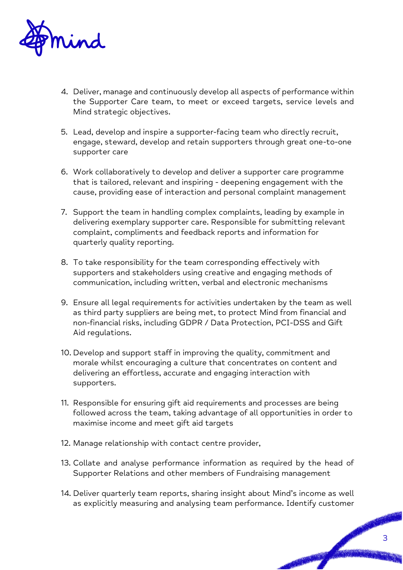

- 4. Deliver, manage and continuously develop all aspects of performance within the Supporter Care team, to meet or exceed targets, service levels and Mind strategic objectives.
- 5. Lead, develop and inspire a supporter-facing team who directly recruit, engage, steward, develop and retain supporters through great one-to-one supporter care
- 6. Work collaboratively to develop and deliver a supporter care programme that is tailored, relevant and inspiring - deepening engagement with the cause, providing ease of interaction and personal complaint management
- 7. Support the team in handling complex complaints, leading by example in delivering exemplary supporter care. Responsible for submitting relevant complaint, compliments and feedback reports and information for quarterly quality reporting.
- 8. To take responsibility for the team corresponding effectively with supporters and stakeholders using creative and engaging methods of communication, including written, verbal and electronic mechanisms
- 9. Ensure all legal requirements for activities undertaken by the team as well as third party suppliers are being met, to protect Mind from financial and non-financial risks, including GDPR / Data Protection, PCI-DSS and Gift Aid regulations.
- 10. Develop and support staff in improving the quality, commitment and morale whilst encouraging a culture that concentrates on content and delivering an effortless, accurate and engaging interaction with supporters.
- 11. Responsible for ensuring gift aid requirements and processes are being followed across the team, taking advantage of all opportunities in order to maximise income and meet gift aid targets
- 12. Manage relationship with contact centre provider,
- 13. Collate and analyse performance information as required by the head of Supporter Relations and other members of Fundraising management
- 14. Deliver quarterly team reports, sharing insight about Mind's income as well as explicitly measuring and analysing team performance. Identify customer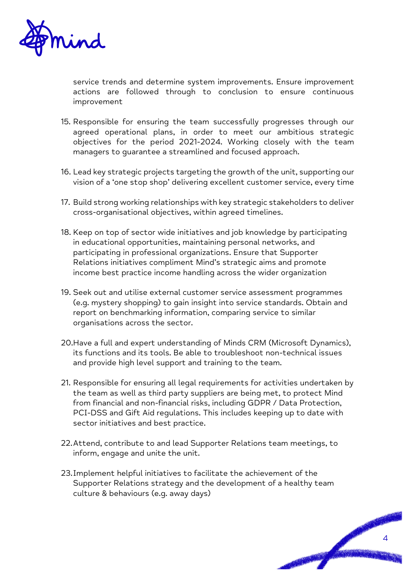

service trends and determine system improvements. Ensure improvement actions are followed through to conclusion to ensure continuous improvement

- 15. Responsible for ensuring the team successfully progresses through our agreed operational plans, in order to meet our ambitious strategic objectives for the period 2021-2024. Working closely with the team managers to guarantee a streamlined and focused approach.
- 16. Lead key strategic projects targeting the growth of the unit, supporting our vision of a 'one stop shop' delivering excellent customer service, every time
- 17. Build strong working relationships with key strategic stakeholders to deliver cross-organisational objectives, within agreed timelines.
- 18. Keep on top of sector wide initiatives and job knowledge by participating in educational opportunities, maintaining personal networks, and participating in professional organizations. Ensure that Supporter Relations initiatives compliment Mind's strategic aims and promote income best practice income handling across the wider organization
- 19. Seek out and utilise external customer service assessment programmes (e.g. mystery shopping) to gain insight into service standards. Obtain and report on benchmarking information, comparing service to similar organisations across the sector.
- 20.Have a full and expert understanding of Minds CRM (Microsoft Dynamics), its functions and its tools. Be able to troubleshoot non-technical issues and provide high level support and training to the team.
- 21. Responsible for ensuring all legal requirements for activities undertaken by the team as well as third party suppliers are being met, to protect Mind from financial and non-financial risks, including GDPR / Data Protection, PCI-DSS and Gift Aid regulations. This includes keeping up to date with sector initiatives and best practice.
- 22.Attend, contribute to and lead Supporter Relations team meetings, to inform, engage and unite the unit.
- 23.Implement helpful initiatives to facilitate the achievement of the Supporter Relations strategy and the development of a healthy team culture & behaviours (e.g. away days)

4

No. of Canada and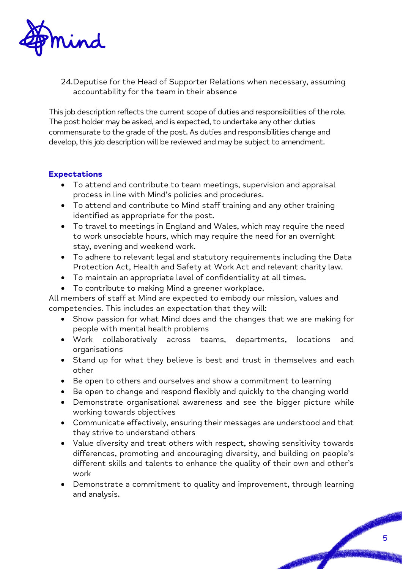

24.Deputise for the Head of Supporter Relations when necessary, assuming accountability for the team in their absence

This job description reflects the current scope of duties and responsibilities of the role. The post holder may be asked, and is expected, to undertake any other duties commensurate to the grade of the post. As duties and responsibilities change and develop, this job description will be reviewed and may be subject to amendment.

#### **Expectations**

- To attend and contribute to team meetings, supervision and appraisal process in line with Mind's policies and procedures.
- To attend and contribute to Mind staff training and any other training identified as appropriate for the post.
- To travel to meetings in England and Wales, which may require the need to work unsociable hours, which may require the need for an overnight stay, evening and weekend work.
- To adhere to relevant legal and statutory requirements including the Data Protection Act, Health and Safety at Work Act and relevant charity law.
- To maintain an appropriate level of confidentiality at all times.
- To contribute to making Mind a greener workplace.

All members of staff at Mind are expected to embody our mission, values and competencies. This includes an expectation that they will:

- Show passion for what Mind does and the changes that we are making for people with mental health problems
- Work collaboratively across teams, departments, locations and organisations
- Stand up for what they believe is best and trust in themselves and each other
- Be open to others and ourselves and show a commitment to learning
- Be open to change and respond flexibly and quickly to the changing world
- Demonstrate organisational awareness and see the bigger picture while working towards objectives
- Communicate effectively, ensuring their messages are understood and that they strive to understand others
- Value diversity and treat others with respect, showing sensitivity towards differences, promoting and encouraging diversity, and building on people's different skills and talents to enhance the quality of their own and other's work
- Demonstrate a commitment to quality and improvement, through learning and analysis.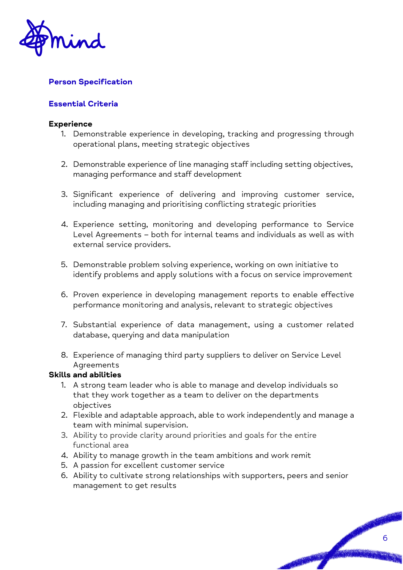

#### **Person Specification**

#### **Essential Criteria**

#### **Experience**

- 1. Demonstrable experience in developing, tracking and progressing through operational plans, meeting strategic objectives
- 2. Demonstrable experience of line managing staff including setting objectives, managing performance and staff development
- 3. Significant experience of delivering and improving customer service, including managing and prioritising conflicting strategic priorities
- 4. Experience setting, monitoring and developing performance to Service Level Agreements – both for internal teams and individuals as well as with external service providers.
- 5. Demonstrable problem solving experience, working on own initiative to identify problems and apply solutions with a focus on service improvement
- 6. Proven experience in developing management reports to enable effective performance monitoring and analysis, relevant to strategic objectives
- 7. Substantial experience of data management, using a customer related database, querying and data manipulation
- 8. Experience of managing third party suppliers to deliver on Service Level **Agreements**

#### **Skills and abilities**

- 1. A strong team leader who is able to manage and develop individuals so that they work together as a team to deliver on the departments objectives
- 2. Flexible and adaptable approach, able to work independently and manage a team with minimal supervision.
- 3. Ability to provide clarity around priorities and goals for the entire functional area
- 4. Ability to manage growth in the team ambitions and work remit
- 5. A passion for excellent customer service
- 6. Ability to cultivate strong relationships with supporters, peers and senior management to get results